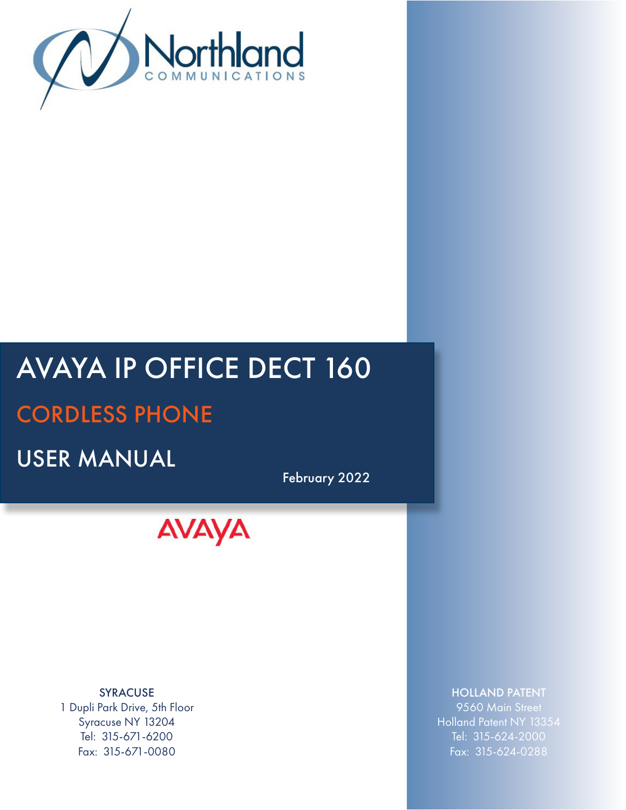

# AVAYA IP OFFICE DECT 160

## CORDLESS PHONE

USER MANUAL

February 2022



SYRACUSE 1 Dupli Park Drive, 5th Floor Syracuse NY 13204 Tel: 315-671-6200 Fax: 315-671-0080

## HOLLAND PATENT

9560 Main Street Holland Patent NY 13354 Tel: 315-624-2000 Fax: 315-624-0288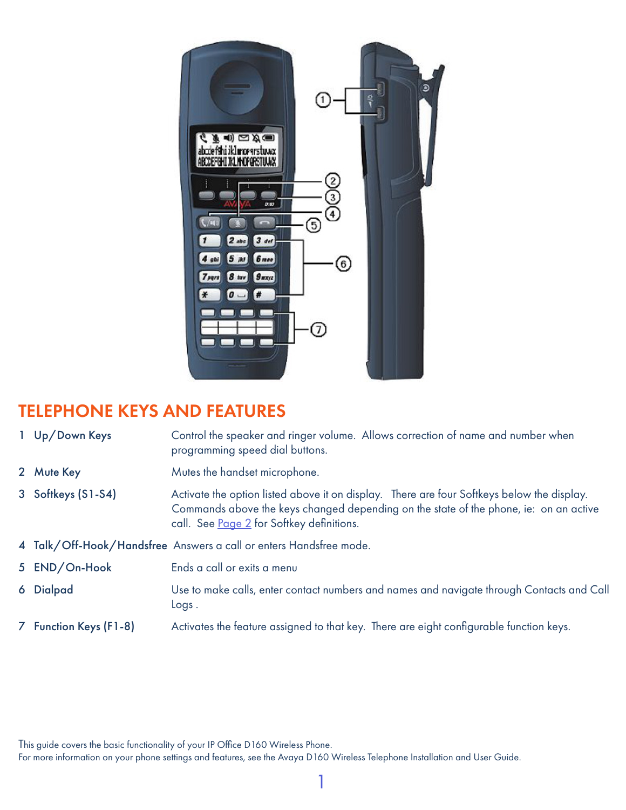

## TELEPHONE KEYS AND FEATURES

- 1 Up/Down Keys Control the speaker and ringer volume. Allows correction of name and number when programming speed dial buttons.
- 2 Mute Key Mutes the handset microphone.
- 3 Softkeys (S1-S4) Activate the option listed above it on display. There are four Softkeys below the display. Commands above the keys changed depending on the state of the phone, ie: on an active call. See [Page 2](#page-3-0) for Softkey definitions.
- 4 Talk/Off-Hook/Handsfree Answers a call or enters Handsfree mode.
- 5 **END/On-Hook** Ends a call or exits a menu
- 6 Dialpad Use to make calls, enter contact numbers and names and navigate through Contacts and Call Logs .
- 7 Function Keys (F1-8) Activates the feature assigned to that key. There are eight configurable function keys.

This guide covers the basic functionality of your IP Office D160 Wireless Phone.

For more information on your phone settings and features, see the Avaya D160 Wireless Telephone Installation and User Guide.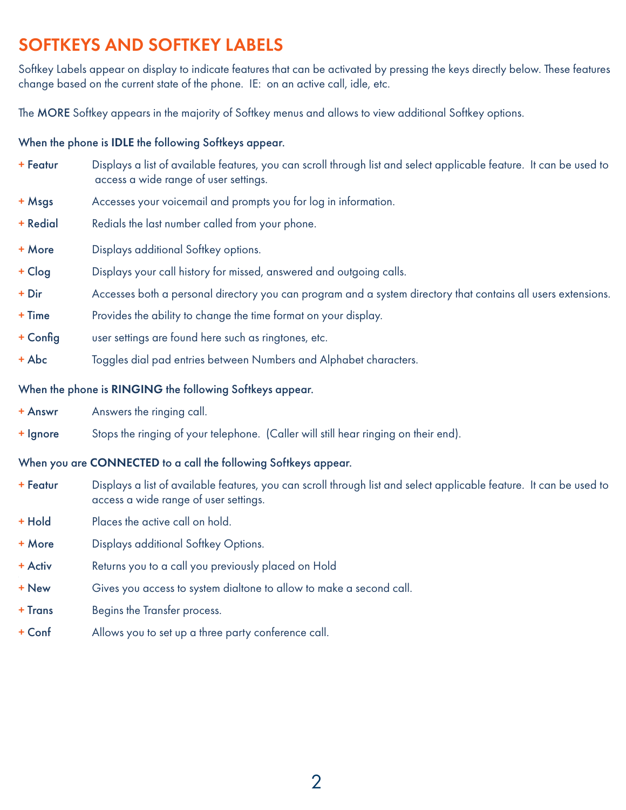## $\mathcal{M}^{\mathcal{M}}(\mathcal{M})= \mathcal{M}^{\mathcal{M}}(\mathcal{M})$  is a set of the set of the set of the set of the set of the set of the set of the set of the set of the set of the set of the set of the set of the set of the set of the set of th SOFTKEYS AND SOFTKEY LABELS

Softkey Labels appear on display to indicate features that can be activated by pressing the keys directly below. These features change based on the current state of the phone. IE: on an active call, idle, etc.

The MORE Softkey appears in the majority of Softkey menus and allows to view additional Softkey options.

#### When the phone is IDLE the following Softkeys appear.

- + Featur Displays a list of available features, you can scroll through list and select applicable feature. It can be used to access a wide range of user settings.
- + Msgs Accesses your voicemail and prompts you for log in information.
- + Redial Redials the last number called from your phone.
- + More Displays additional Softkey options.
- + Clog Displays your call history for missed, answered and outgoing calls.
- + Dir Accesses both a personal directory you can program and a system directory that contains all users extensions.
- + Time Provides the ability to change the time format on your display.
- + Config user settings are found here such as ringtones, etc.
- + Abc Toggles dial pad entries between Numbers and Alphabet characters.

#### When the phone is RINGING the following Softkeys appear.

- + Answr Answers the ringing call.
- + Ignore Stops the ringing of your telephone. (Caller will still hear ringing on their end).

## When you are CONNECTED to a call the following Softkeys appear.

- + Featur Displays a list of available features, you can scroll through list and select applicable feature. It can be used to access a wide range of user settings.
- + Hold Places the active call on hold.
- + More Displays additional Softkey Options.
- + Activ Returns you to a call you previously placed on Hold
- + New Gives you access to system dialtone to allow to make a second call.
- + Trans Begins the Transfer process.
- + Conf Allows you to set up a three party conference call.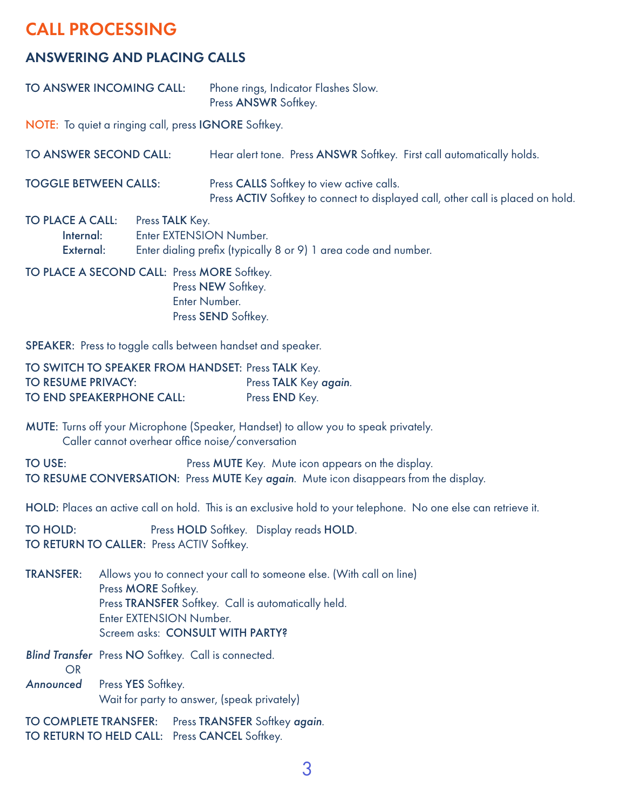## <span id="page-3-0"></span>CALL PROCESSING

## ANSWERING AND PLACING CALLS

| TO ANSWER INCOMING CALL:                             | Phone rings, Indicator Flashes Slow.<br>Press ANSWR Softkey. |
|------------------------------------------------------|--------------------------------------------------------------|
| NOTE: To quiet a ringing call, press IGNORE Softkey. |                                                              |

| TO ANSWER SECOND CALL:       | Hear alert tone. Press ANSWR Softkey. First call automatically holds.                                                        |
|------------------------------|------------------------------------------------------------------------------------------------------------------------------|
| <b>TOGGLE BETWEEN CALLS:</b> | Press CALLS Softkey to view active calls.<br>Press ACTIV Softkey to connect to displayed call, other call is placed on hold. |
| <b>TO BLACE A OALL</b>       |                                                                                                                              |

| <b>IO PLACE A CALL:</b> Press <b>IALK</b> Key. |                                                                 |
|------------------------------------------------|-----------------------------------------------------------------|
| Internal:                                      | Enter EXTENSION Number.                                         |
| External:                                      | Enter dialing prefix (typically 8 or 9) 1 area code and number. |

TO PLACE A SECOND CALL: Press MORE Softkey. Press NEW Softkey. Enter Number. Press SEND Softkey.

SPEAKER: Press to toggle calls between handset and speaker.

| TO SWITCH TO SPEAKER FROM HANDSET: Press TALK Key. |                       |
|----------------------------------------------------|-----------------------|
| <b>TO RESUME PRIVACY:</b>                          | Press TALK Key again. |
| <b>TO END SPEAKERPHONE CALL:</b>                   | Press END Key.        |

MUTE: Turns off your Microphone (Speaker, Handset) to allow you to speak privately. Caller cannot overhear office noise/conversation

TO USE: Press MUTE Key. Mute icon appears on the display. TO RESUME CONVERSATION: Press MUTE Key *again*. Mute icon disappears from the display.

HOLD: Places an active call on hold. This is an exclusive hold to your telephone. No one else can retrieve it.

TO HOLD: Press HOLD Softkey. Display reads HOLD. TO RETURN TO CALLER: Press ACTIV Softkey.

TRANSFER: Allows you to connect your call to someone else. (With call on line) Press **MORE** Softkey. Press TRANSFER Softkey. Call is automatically held. Enter EXTENSION Number. Screem asks: CONSULT WITH PARTY?

*Blind Transfer* Press NO Softkey. Call is connected. OR *Announced* Press YES Softkey. Wait for party to answer, (speak privately)

TO COMPLETE TRANSFER: Press TRANSFER Softkey *again*. TO RETURN TO HELD CALL: Press CANCEL Softkey.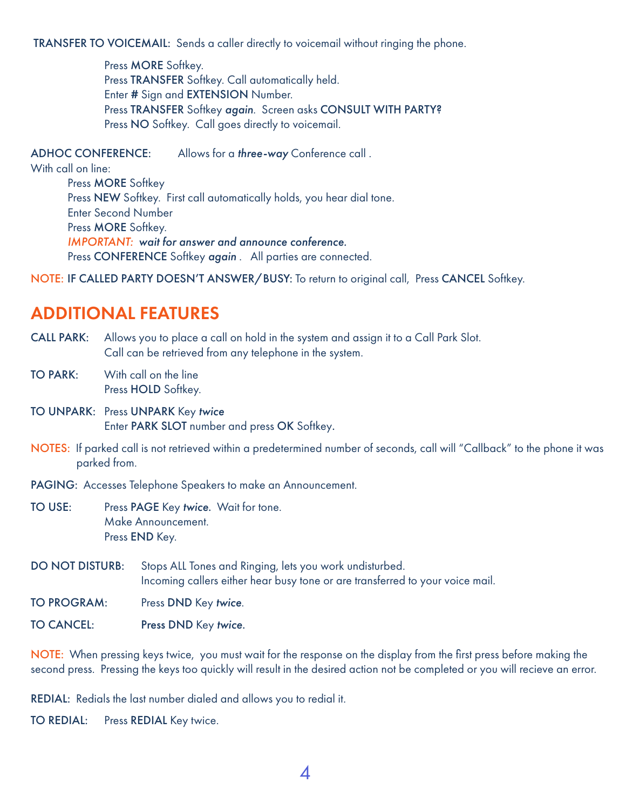TRANSFER TO VOICEMAIL: Sends a caller directly to voicemail without ringing the phone.

Press **MORE** Softkey. Press TRANSFER Softkey. Call automatically held. Enter # Sign and EXTENSION Number. Press TRANSFER Softkey *again*. Screen asks CONSULT WITH PARTY? Press NO Softkey. Call goes directly to voicemail.

ADHOC CONFERENCE: Allows for a *three-way* Conference call . With call on line: Press MORE Softkey Press NEW Softkey. First call automatically holds, you hear dial tone. Enter Second Number

> Press MORE Softkey. *IMPORTANT: wait for answer and announce conference.* Press CONFERENCE Softkey *again* . All parties are connected.

NOTE: IF CALLED PARTY DOESN'T ANSWER/BUSY: To return to original call, Press CANCEL Softkey.

## ADDITIONAL FEATURES

CALL PARK: Allows you to place a call on hold in the system and assign it to a Call Park Slot. Call can be retrieved from any telephone in the system.

TO PARK: With call on the line Press HOLD Softkey.

TO UNPARK: Press UNPARK Key *twice* Enter PARK SLOT number and press OK Softkey.

NOTES: If parked call is not retrieved within a predetermined number of seconds, call will "Callback" to the phone it was parked from.

PAGING: Accesses Telephone Speakers to make an Announcement.

- TO USE: Press PAGE Key *twice*. Wait for tone. Make Announcement. Press END Key.
- DO NOT DISTURB: Stops ALL Tones and Ringing, lets you work undisturbed. Incoming callers either hear busy tone or are transferred to your voice mail.

TO PROGRAM: Press DND Key *twice*.

TO CANCEL: Press DND Key *twice*.

NOTE: When pressing keys twice, you must wait for the response on the display from the first press before making the second press. Pressing the keys too quickly will result in the desired action not be completed or you will recieve an error.

REDIAL: Redials the last number dialed and allows you to redial it.

TO REDIAL: Press REDIAL Key twice.